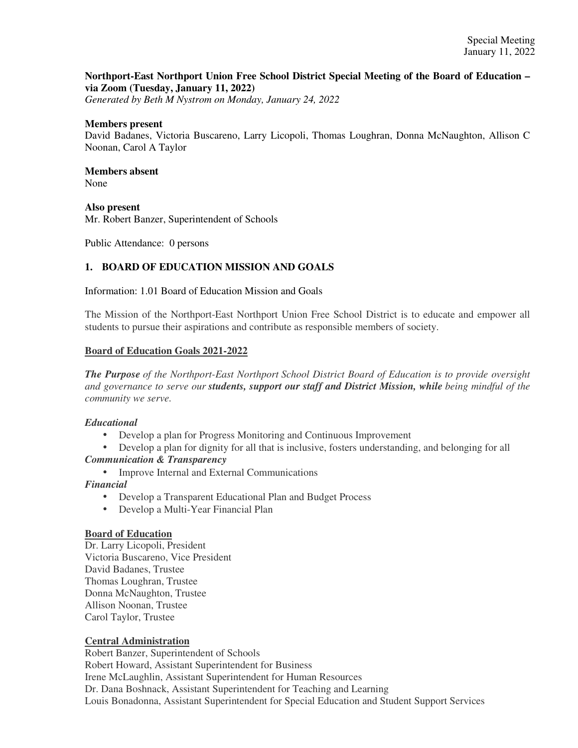## **Northport-East Northport Union Free School District Special Meeting of the Board of Education – via Zoom (Tuesday, January 11, 2022)**

*Generated by Beth M Nystrom on Monday, January 24, 2022*

#### **Members present**

David Badanes, Victoria Buscareno, Larry Licopoli, Thomas Loughran, Donna McNaughton, Allison C Noonan, Carol A Taylor

#### **Members absent**  None

**Also present** 

Mr. Robert Banzer, Superintendent of Schools

Public Attendance: 0 persons

## **1. BOARD OF EDUCATION MISSION AND GOALS**

Information: 1.01 Board of Education Mission and Goals

The Mission of the Northport-East Northport Union Free School District is to educate and empower all students to pursue their aspirations and contribute as responsible members of society.

#### **Board of Education Goals 2021-2022**

*The Purpose of the Northport-East Northport School District Board of Education is to provide oversight and governance to serve our students, support our staff and District Mission, while being mindful of the community we serve.*

### *Educational*

- Develop a plan for Progress Monitoring and Continuous Improvement
- Develop a plan for dignity for all that is inclusive, fosters understanding, and belonging for all *Communication & Transparency*
	- Improve Internal and External Communications

### *Financial*

- Develop a Transparent Educational Plan and Budget Process
- Develop a Multi-Year Financial Plan

#### **Board of Education**

Dr. Larry Licopoli, President Victoria Buscareno, Vice President David Badanes, Trustee Thomas Loughran, Trustee Donna McNaughton, Trustee Allison Noonan, Trustee Carol Taylor, Trustee

### **Central Administration**

Robert Banzer, Superintendent of Schools Robert Howard, Assistant Superintendent for Business Irene McLaughlin, Assistant Superintendent for Human Resources Dr. Dana Boshnack, Assistant Superintendent for Teaching and Learning Louis Bonadonna, Assistant Superintendent for Special Education and Student Support Services